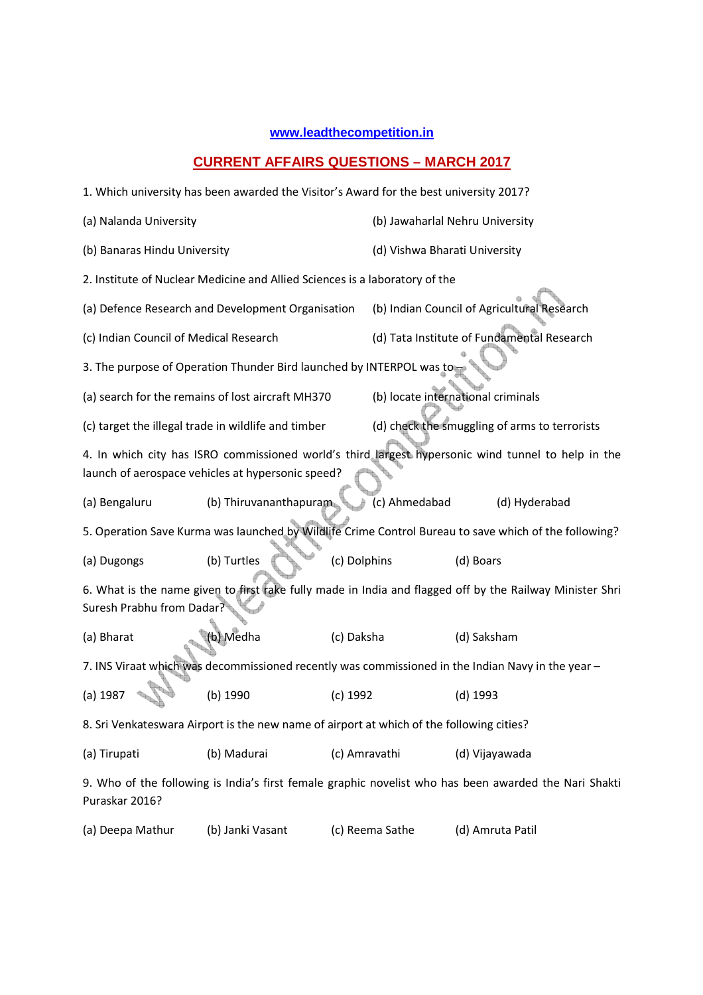## **www.leadthecompetition.in**

## **CURRENT AFFAIRS QUESTIONS – MARCH 2017**

|                                                                                                                                       | 1. Which university has been awarded the Visitor's Award for the best university 2017?                                                                  |               |                               |                                               |  |
|---------------------------------------------------------------------------------------------------------------------------------------|---------------------------------------------------------------------------------------------------------------------------------------------------------|---------------|-------------------------------|-----------------------------------------------|--|
| (a) Nalanda University                                                                                                                |                                                                                                                                                         |               |                               | (b) Jawaharlal Nehru University               |  |
| (b) Banaras Hindu University                                                                                                          |                                                                                                                                                         |               | (d) Vishwa Bharati University |                                               |  |
|                                                                                                                                       | 2. Institute of Nuclear Medicine and Allied Sciences is a laboratory of the                                                                             |               |                               |                                               |  |
|                                                                                                                                       | (a) Defence Research and Development Organisation                                                                                                       |               |                               | (b) Indian Council of Agricultural Research   |  |
| (c) Indian Council of Medical Research                                                                                                |                                                                                                                                                         |               |                               | (d) Tata Institute of Fundamental Research    |  |
|                                                                                                                                       | 3. The purpose of Operation Thunder Bird launched by INTERPOL was to                                                                                    |               |                               |                                               |  |
|                                                                                                                                       | (a) search for the remains of lost aircraft MH370                                                                                                       |               |                               | (b) locate international criminals            |  |
|                                                                                                                                       | (c) target the illegal trade in wildlife and timber                                                                                                     |               |                               | (d) check the smuggling of arms to terrorists |  |
|                                                                                                                                       | 4. In which city has ISRO commissioned world's third largest hypersonic wind tunnel to help in the<br>launch of aerospace vehicles at hypersonic speed? |               |                               |                                               |  |
| (a) Bengaluru                                                                                                                         | (b) Thiruvananthapuram                                                                                                                                  |               | (c) Ahmedabad                 | (d) Hyderabad                                 |  |
|                                                                                                                                       | 5. Operation Save Kurma was launched by Wildlife Crime Control Bureau to save which of the following?                                                   |               |                               |                                               |  |
| (a) Dugongs                                                                                                                           | (b) Turtles                                                                                                                                             | (c) Dolphins  |                               | (d) Boars                                     |  |
| 6. What is the name given to first rake fully made in India and flagged off by the Railway Minister Shri<br>Suresh Prabhu from Dadar? |                                                                                                                                                         |               |                               |                                               |  |
| (a) Bharat                                                                                                                            | (b) Medha                                                                                                                                               | (c) Daksha    |                               | (d) Saksham                                   |  |
|                                                                                                                                       | 7. INS Viraat which was decommissioned recently was commissioned in the Indian Navy in the year -                                                       |               |                               |                                               |  |
| (a) 1987                                                                                                                              | (b) 1990                                                                                                                                                | (c) 1992      |                               | (d) 1993                                      |  |
|                                                                                                                                       | 8. Sri Venkateswara Airport is the new name of airport at which of the following cities?                                                                |               |                               |                                               |  |
| (a) Tirupati                                                                                                                          | (b) Madurai                                                                                                                                             | (c) Amravathi |                               | (d) Vijayawada                                |  |
| Puraskar 2016?                                                                                                                        | 9. Who of the following is India's first female graphic novelist who has been awarded the Nari Shakti                                                   |               |                               |                                               |  |
| (a) Deepa Mathur                                                                                                                      | (b) Janki Vasant                                                                                                                                        |               | (c) Reema Sathe               | (d) Amruta Patil                              |  |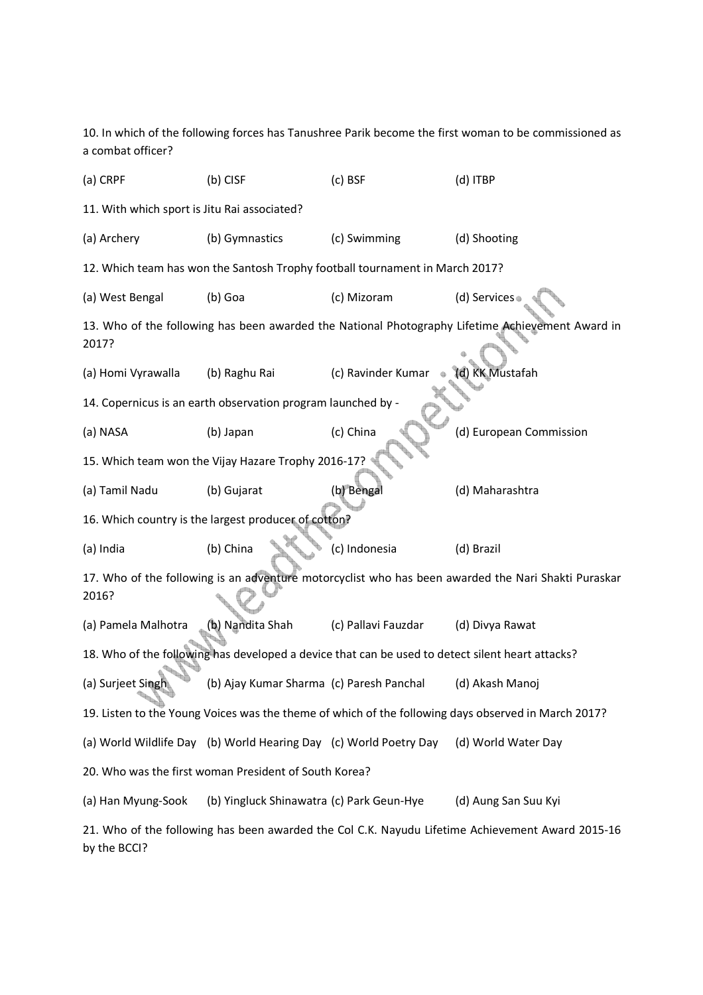10. In which of the following forces has Tanushree Parik become the first woman to be commissioned as a combat officer?

| (a) CRPF                                                                                                         | (b) CISF                                                          | (c) BSF                                                                      | (d) ITBP                                                                                            |  |  |
|------------------------------------------------------------------------------------------------------------------|-------------------------------------------------------------------|------------------------------------------------------------------------------|-----------------------------------------------------------------------------------------------------|--|--|
| 11. With which sport is Jitu Rai associated?                                                                     |                                                                   |                                                                              |                                                                                                     |  |  |
| (a) Archery                                                                                                      | (b) Gymnastics                                                    | (c) Swimming                                                                 | (d) Shooting                                                                                        |  |  |
|                                                                                                                  |                                                                   | 12. Which team has won the Santosh Trophy football tournament in March 2017? |                                                                                                     |  |  |
| (a) West Bengal                                                                                                  | (b) Goa                                                           | (c) Mizoram                                                                  | (d) Services                                                                                        |  |  |
| 2017?                                                                                                            |                                                                   |                                                                              | 13. Who of the following has been awarded the National Photography Lifetime Achievement Award in    |  |  |
| (a) Homi Vyrawalla                                                                                               | (b) Raghu Rai                                                     | (c) Ravinder Kumar                                                           | (d) KK Mustafah                                                                                     |  |  |
|                                                                                                                  | 14. Copernicus is an earth observation program launched by -      |                                                                              |                                                                                                     |  |  |
| (a) NASA                                                                                                         | (b) Japan                                                         | (c) China                                                                    | (d) European Commission                                                                             |  |  |
|                                                                                                                  | 15. Which team won the Vijay Hazare Trophy 2016-17?               |                                                                              |                                                                                                     |  |  |
| (a) Tamil Nadu                                                                                                   | (b) Gujarat                                                       | (b) Bengal                                                                   | (d) Maharashtra                                                                                     |  |  |
|                                                                                                                  | 16. Which country is the largest producer of cotton?              |                                                                              |                                                                                                     |  |  |
| (a) India                                                                                                        | (b) China                                                         | (c) Indonesia                                                                | (d) Brazil                                                                                          |  |  |
| 2016?                                                                                                            |                                                                   |                                                                              | 17. Who of the following is an adventure motorcyclist who has been awarded the Nari Shakti Puraskar |  |  |
| (a) Pamela Malhotra                                                                                              | (b) Nandita Shah                                                  | (c) Pallavi Fauzdar                                                          | (d) Divya Rawat                                                                                     |  |  |
| 18. Who of the following has developed a device that can be used to detect silent heart attacks?                 |                                                                   |                                                                              |                                                                                                     |  |  |
| (a) Surjeet Singh                                                                                                | (b) Ajay Kumar Sharma (c) Paresh Panchal                          |                                                                              | (d) Akash Manoj                                                                                     |  |  |
|                                                                                                                  |                                                                   |                                                                              | 19. Listen to the Young Voices was the theme of which of the following days observed in March 2017? |  |  |
|                                                                                                                  | (a) World Wildlife Day (b) World Hearing Day (c) World Poetry Day |                                                                              | (d) World Water Day                                                                                 |  |  |
| 20. Who was the first woman President of South Korea?                                                            |                                                                   |                                                                              |                                                                                                     |  |  |
| (a) Han Myung-Sook                                                                                               | (b) Yingluck Shinawatra (c) Park Geun-Hye                         |                                                                              | (d) Aung San Suu Kyi                                                                                |  |  |
| 21. Who of the following has been awarded the Col C.K. Nayudu Lifetime Achievement Award 2015-16<br>by the BCCI? |                                                                   |                                                                              |                                                                                                     |  |  |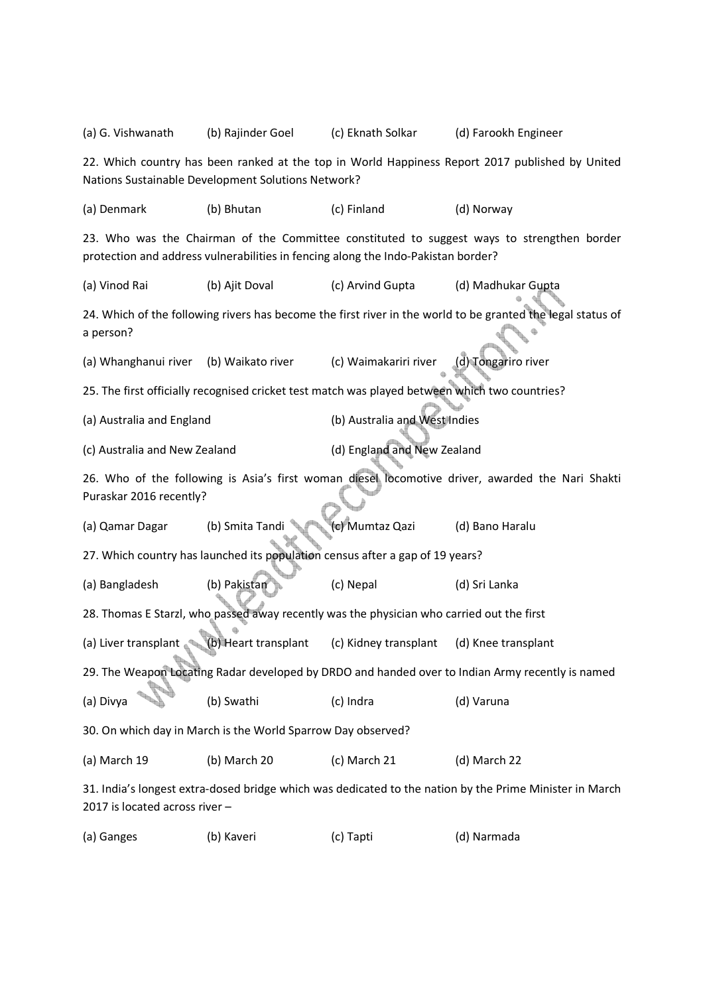| (a) G. Vishwanath                                                                                                                                                               | (b) Rajinder Goel    | (c) Eknath Solkar                                                                              | (d) Farookh Engineer                                                                                        |  |  |
|---------------------------------------------------------------------------------------------------------------------------------------------------------------------------------|----------------------|------------------------------------------------------------------------------------------------|-------------------------------------------------------------------------------------------------------------|--|--|
| 22. Which country has been ranked at the top in World Happiness Report 2017 published by United<br>Nations Sustainable Development Solutions Network?                           |                      |                                                                                                |                                                                                                             |  |  |
| (a) Denmark                                                                                                                                                                     | (b) Bhutan           | (c) Finland                                                                                    | (d) Norway                                                                                                  |  |  |
| 23. Who was the Chairman of the Committee constituted to suggest ways to strengthen border<br>protection and address vulnerabilities in fencing along the Indo-Pakistan border? |                      |                                                                                                |                                                                                                             |  |  |
| (a) Vinod Rai                                                                                                                                                                   | (b) Ajit Doval       | (c) Arvind Gupta                                                                               | (d) Madhukar Gupta                                                                                          |  |  |
| a person?                                                                                                                                                                       |                      |                                                                                                | 24. Which of the following rivers has become the first river in the world to be granted the legal status of |  |  |
| (a) Whanghanui river                                                                                                                                                            | (b) Waikato river    | (c) Waimakariri river                                                                          | (d) Tongariro river                                                                                         |  |  |
|                                                                                                                                                                                 |                      | 25. The first officially recognised cricket test match was played between which two countries? |                                                                                                             |  |  |
| (a) Australia and England                                                                                                                                                       |                      | (b) Australia and West Indies                                                                  |                                                                                                             |  |  |
| (c) Australia and New Zealand                                                                                                                                                   |                      | (d) England and New Zealand                                                                    |                                                                                                             |  |  |
| 26. Who of the following is Asia's first woman diesel locomotive driver, awarded the Nari Shakti<br>Puraskar 2016 recently?                                                     |                      |                                                                                                |                                                                                                             |  |  |
| (a) Qamar Dagar                                                                                                                                                                 | (b) Smita Tandi      | (c) Mumtaz Qazi                                                                                | (d) Bano Haralu                                                                                             |  |  |
| 27. Which country has launched its population census after a gap of 19 years?                                                                                                   |                      |                                                                                                |                                                                                                             |  |  |
| (a) Bangladesh                                                                                                                                                                  | (b) Pakistan         | (c) Nepal                                                                                      | (d) Sri Lanka                                                                                               |  |  |
| 28. Thomas E Starzl, who passed away recently was the physician who carried out the first                                                                                       |                      |                                                                                                |                                                                                                             |  |  |
| (a) Liver transplant                                                                                                                                                            | (b) Heart transplant | (c) Kidney transplant                                                                          | (d) Knee transplant                                                                                         |  |  |
| 29. The Weapon Locating Radar developed by DRDO and handed over to Indian Army recently is named                                                                                |                      |                                                                                                |                                                                                                             |  |  |
| (a) Divya                                                                                                                                                                       | (b) Swathi           | (c) Indra                                                                                      | (d) Varuna                                                                                                  |  |  |
| 30. On which day in March is the World Sparrow Day observed?                                                                                                                    |                      |                                                                                                |                                                                                                             |  |  |
| (a) March 19                                                                                                                                                                    | (b) March 20         | (c) March 21                                                                                   | (d) March 22                                                                                                |  |  |
| 31. India's longest extra-dosed bridge which was dedicated to the nation by the Prime Minister in March<br>2017 is located across river -                                       |                      |                                                                                                |                                                                                                             |  |  |

(a) Ganges (b) Kaveri (c) Tapti (d) Narmada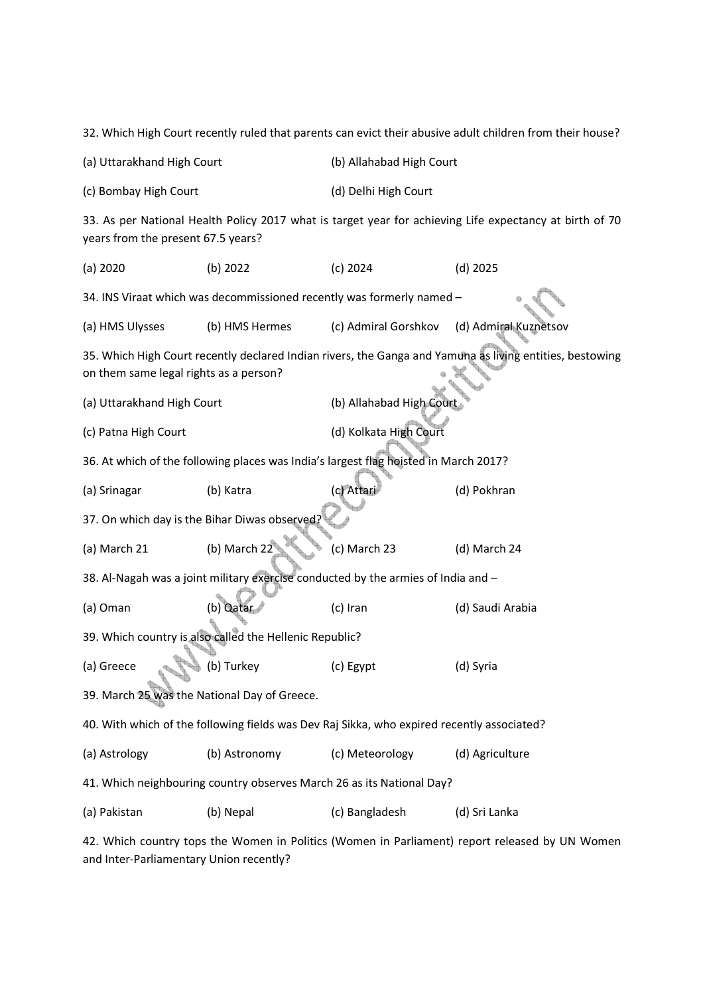|                                                                                                                                               |                |                                                                                      | 32. Which High Court recently ruled that parents can evict their abusive adult children from their house? |  |  |
|-----------------------------------------------------------------------------------------------------------------------------------------------|----------------|--------------------------------------------------------------------------------------|-----------------------------------------------------------------------------------------------------------|--|--|
| (a) Uttarakhand High Court                                                                                                                    |                | (b) Allahabad High Court                                                             |                                                                                                           |  |  |
| (c) Bombay High Court                                                                                                                         |                | (d) Delhi High Court                                                                 |                                                                                                           |  |  |
| 33. As per National Health Policy 2017 what is target year for achieving Life expectancy at birth of 70<br>years from the present 67.5 years? |                |                                                                                      |                                                                                                           |  |  |
| (a) 2020                                                                                                                                      | (b) 2022       | $(c)$ 2024                                                                           | $(d)$ 2025                                                                                                |  |  |
|                                                                                                                                               |                | 34. INS Viraat which was decommissioned recently was formerly named -                |                                                                                                           |  |  |
| (a) HMS Ulysses                                                                                                                               | (b) HMS Hermes | (c) Admiral Gorshkov                                                                 | (d) Admiral Kuznetsov                                                                                     |  |  |
| on them same legal rights as a person?                                                                                                        |                |                                                                                      | 35. Which High Court recently declared Indian rivers, the Ganga and Yamuna as living entities, bestowing  |  |  |
| (a) Uttarakhand High Court                                                                                                                    |                | (b) Allahabad High Court                                                             |                                                                                                           |  |  |
| (c) Patna High Court                                                                                                                          |                | (d) Kolkata High Court                                                               |                                                                                                           |  |  |
|                                                                                                                                               |                | 36. At which of the following places was India's largest flag hoisted in March 2017? |                                                                                                           |  |  |
| (a) Srinagar                                                                                                                                  | (b) Katra      | (c) Attari                                                                           | (d) Pokhran                                                                                               |  |  |
| 37. On which day is the Bihar Diwas observed?                                                                                                 |                |                                                                                      |                                                                                                           |  |  |
| (a) March 21                                                                                                                                  | (b) March 22   | (c) March 23                                                                         | (d) March 24                                                                                              |  |  |
| 38. Al-Nagah was a joint military exercise conducted by the armies of India and -                                                             |                |                                                                                      |                                                                                                           |  |  |
| (a) Oman                                                                                                                                      | (b) Qatar      | (c) Iran                                                                             | (d) Saudi Arabia                                                                                          |  |  |
| 39. Which country is also called the Hellenic Republic?                                                                                       |                |                                                                                      |                                                                                                           |  |  |
| (a) Greece                                                                                                                                    | (b) Turkey     | (c) Egypt                                                                            | (d) Syria                                                                                                 |  |  |
| 39. March 25 was the National Day of Greece.                                                                                                  |                |                                                                                      |                                                                                                           |  |  |
| 40. With which of the following fields was Dev Raj Sikka, who expired recently associated?                                                    |                |                                                                                      |                                                                                                           |  |  |
| (a) Astrology                                                                                                                                 | (b) Astronomy  | (c) Meteorology                                                                      | (d) Agriculture                                                                                           |  |  |
| 41. Which neighbouring country observes March 26 as its National Day?                                                                         |                |                                                                                      |                                                                                                           |  |  |
| (a) Pakistan                                                                                                                                  | (b) Nepal      | (c) Bangladesh                                                                       | (d) Sri Lanka                                                                                             |  |  |
|                                                                                                                                               |                |                                                                                      | 42. Which country tops the Women in Politics (Women in Parliament) report released by UN Women            |  |  |

and Inter-Parliamentary Union recently?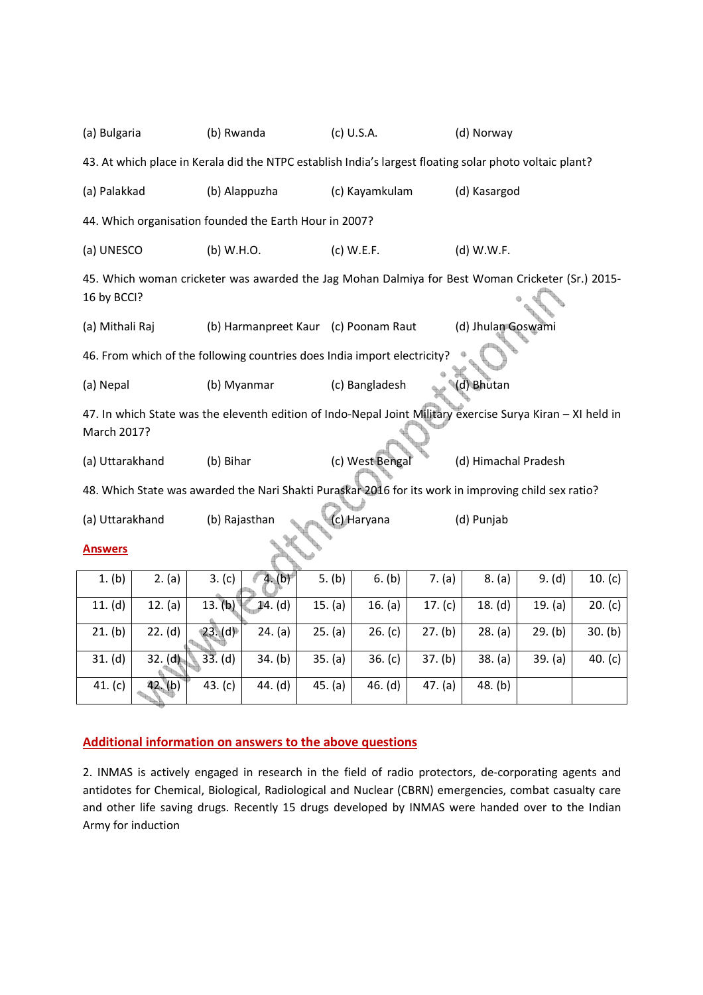| (a) Bulgaria                                                                                                              |                                                                                                                 | (b) Rwanda |                               |         | (c) U.S.A.                                                               |           | (d) Norway           |         |           |  |
|---------------------------------------------------------------------------------------------------------------------------|-----------------------------------------------------------------------------------------------------------------|------------|-------------------------------|---------|--------------------------------------------------------------------------|-----------|----------------------|---------|-----------|--|
| 43. At which place in Kerala did the NTPC establish India's largest floating solar photo voltaic plant?                   |                                                                                                                 |            |                               |         |                                                                          |           |                      |         |           |  |
| (a) Palakkad                                                                                                              |                                                                                                                 |            | (b) Alappuzha                 |         | (c) Kayamkulam                                                           |           | (d) Kasargod         |         |           |  |
|                                                                                                                           | 44. Which organisation founded the Earth Hour in 2007?                                                          |            |                               |         |                                                                          |           |                      |         |           |  |
| (a) UNESCO                                                                                                                |                                                                                                                 | (b) W.H.O. |                               |         | $(c)$ W.E.F.                                                             |           | (d) W.W.F.           |         |           |  |
|                                                                                                                           | 45. Which woman cricketer was awarded the Jag Mohan Dalmiya for Best Woman Cricketer (Sr.) 2015-<br>16 by BCCI? |            |                               |         |                                                                          |           |                      |         |           |  |
| (a) Mithali Raj                                                                                                           |                                                                                                                 |            |                               |         | (b) Harmanpreet Kaur (c) Poonam Raut                                     |           | (d) Jhulan Goswami   |         |           |  |
|                                                                                                                           |                                                                                                                 |            |                               |         | 46. From which of the following countries does India import electricity? |           |                      |         |           |  |
| (a) Nepal                                                                                                                 |                                                                                                                 |            | (b) Myanmar<br>(c) Bangladesh |         |                                                                          |           | (d) Bhutan           |         |           |  |
| 47. In which State was the eleventh edition of Indo-Nepal Joint Military exercise Surya Kiran - XI held in<br>March 2017? |                                                                                                                 |            |                               |         |                                                                          |           |                      |         |           |  |
| (a) Uttarakhand                                                                                                           |                                                                                                                 | (b) Bihar  |                               |         | (c) West Bengal                                                          |           | (d) Himachal Pradesh |         |           |  |
| 48. Which State was awarded the Nari Shakti Puraskar 2016 for its work in improving child sex ratio?                      |                                                                                                                 |            |                               |         |                                                                          |           |                      |         |           |  |
| (a) Uttarakhand<br>(b) Rajasthan<br>(c) Haryana<br>(d) Punjab                                                             |                                                                                                                 |            |                               |         |                                                                          |           |                      |         |           |  |
| <b>Answers</b>                                                                                                            |                                                                                                                 |            |                               |         |                                                                          |           |                      |         |           |  |
| 1. (b)                                                                                                                    | 2. (a)                                                                                                          | 3. (c)     | 4. (b)                        | 5. (b)  | 6. (b)                                                                   | 7. (a)    | 8. (a)               | 9. (d)  | 10. (c)   |  |
| 11. (d)                                                                                                                   | 12. (a)                                                                                                         | 13. (b)    | 14. (d)                       | 15. (a) | 16. (a)                                                                  | 17. $(c)$ | 18. (d)              | 19. (a) | 20. (c)   |  |
| 21. (b)                                                                                                                   | 22. (d)                                                                                                         | 23.(d)     | 24. (a)                       | 25. (a) | 26. (c)                                                                  | 27. (b)   | 28. (a)              | 29. (b) | 30. (b)   |  |
| 31. (d)                                                                                                                   | $32.$ (d)                                                                                                       | 33. (d)    | 34. (b)                       | 35. (a) | 36. (c)                                                                  | 37. (b)   | 38. (a)              | 39. (a) | 40. $(c)$ |  |
| 41. (c)                                                                                                                   | 42. (b)                                                                                                         | 43. $(c)$  | 44. (d)                       | 45. (a) | 46. (d)                                                                  | 47. (a)   | 48. (b)              |         |           |  |

## **Additional information on answers to the above questions**

2. INMAS is actively engaged in research in the field of radio protectors, de-corporating agents and antidotes for Chemical, Biological, Radiological and Nuclear (CBRN) emergencies, combat casualty care and other life saving drugs. Recently 15 drugs developed by INMAS were handed over to the Indian Army for induction